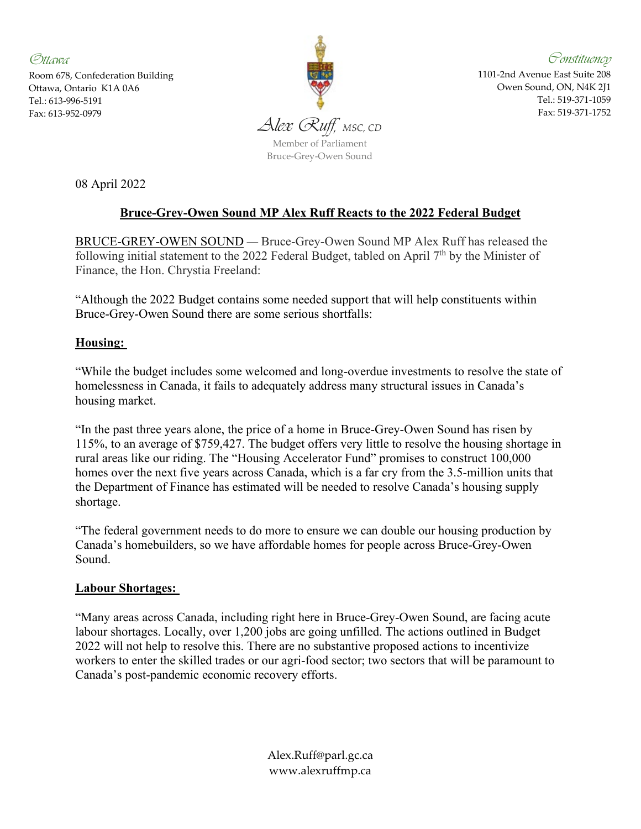Ottawa Room 678, Confederation Building Ottawa, Ontario K1A 0A6 Tel.: 613-996-5191



Constituency 1101-2nd Avenue East Suite 208 Owen Sound, ON, N4K 2J1 Tel.: 519-371-1059 Fax: 519-371-1752

08 April 2022

# **Bruce-Grey-Owen Sound MP Alex Ruff Reacts to the 2022 Federal Budget**

BRUCE-GREY-OWEN SOUND *—* Bruce-Grey-Owen Sound MP Alex Ruff has released the following initial statement to the 2022 Federal Budget, tabled on April  $7<sup>th</sup>$  by the Minister of Finance, the Hon. Chrystia Freeland:

"Although the 2022 Budget contains some needed support that will help constituents within Bruce-Grey-Owen Sound there are some serious shortfalls:

### **Housing:**

"While the budget includes some welcomed and long-overdue investments to resolve the state of homelessness in Canada, it fails to adequately address many structural issues in Canada's housing market.

"In the past three years alone, the price of a home in Bruce-Grey-Owen Sound has risen by 115%, to an average of \$759,427. The budget offers very little to resolve the housing shortage in rural areas like our riding. The "Housing Accelerator Fund" promises to construct 100,000 homes over the next five years across Canada, which is a far cry from the 3.5-million units that the Department of Finance has estimated will be needed to resolve Canada's housing supply shortage.

"The federal government needs to do more to ensure we can double our housing production by Canada's homebuilders, so we have affordable homes for people across Bruce-Grey-Owen Sound.

#### **Labour Shortages:**

"Many areas across Canada, including right here in Bruce-Grey-Owen Sound, are facing acute labour shortages. Locally, over 1,200 jobs are going unfilled. The actions outlined in Budget 2022 will not help to resolve this. There are no substantive proposed actions to incentivize workers to enter the skilled trades or our agri-food sector; two sectors that will be paramount to Canada's post-pandemic economic recovery efforts.

> Alex.Ruff@parl.gc.ca www.alexruffmp.ca